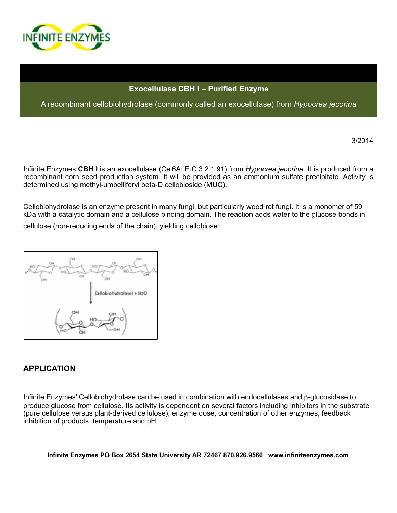

### **Exocellulase CBH I – Purified Enzyme**

A recombinant cellobiohydrolase (commonly called an exocellulase) from *Hypocrea jecorina* 

3/2014

Infinite Enzymes **CBH I** is an exocellulase (Cel6A: E.C.3.2.1.91) from *Hypocrea jecorina.* It is produced from a recombinant corn seed production system. It will be provided as an ammonium sulfate precipitate. Activity is determined using methyl-umbelliferyl beta-D cellobioside (MUC).

Cellobiohydrolase is an enzyme present in many fungi, but particularly wood rot fungi. It is a monomer of 59 kDa with a catalytic domain and a cellulose binding domain. The reaction adds water to the glucose bonds in

cellulose (non-reducing ends of the chain), yielding cellobiose:



# **APPLICATION**

Infinite Enzymes' Cellobiohydrolase can be used in combination with endocellulases and β-glucosidase to produce glucose from cellulose. Its activity is dependent on several factors including inhibitors in the substrate (pure cellulose versus plant-derived cellulose), enzyme dose, concentration of other enzymes, feedback inhibition of products, temperature and pH.

**Infinite Enzymes PO Box 2654 State University AR 72467 870.926.9566 www.infiniteenzymes.com**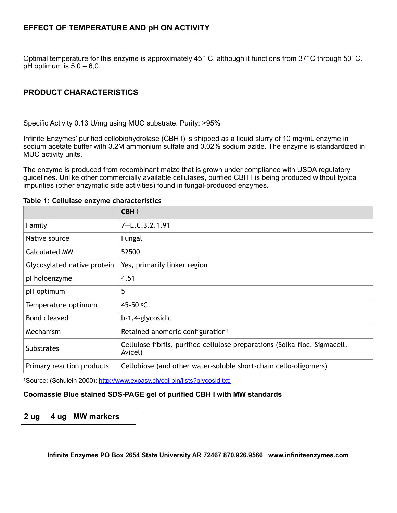# **EFFECT OF TEMPERATURE AND pH ON ACTIVITY**

Optimal temperature for this enzyme is approximately 45° C, although it functions from 37°C through 50°C. pH optimum is  $5.0 - 6.0$ .

# **PRODUCT CHARACTERISTICS**

Specific Activity 0.13 U/mg using MUC substrate. Purity: >95%

Infinite Enzymes' purified cellobiohydrolase (CBH I) is shipped as a liquid slurry of 10 mg/mL enzyme in sodium acetate buffer with 3.2M ammonium sulfate and 0.02% sodium azide. The enzyme is standardized in MUC activity units.

The enzyme is produced from recombinant maize that is grown under compliance with USDA regulatory guidelines. Unlike other commercially available cellulases, purified CBH I is being produced without typical impurities (other enzymatic side activities) found in fungal-produced enzymes.

|                             | <b>CBHI</b>                                                                           |
|-----------------------------|---------------------------------------------------------------------------------------|
| Family                      | $7 - E.C.3.2.1.91$                                                                    |
| Native source               | Fungal                                                                                |
| <b>Calculated MW</b>        | 52500                                                                                 |
| Glycosylated native protein | Yes, primarily linker region                                                          |
| pl holoenzyme               | 4.51                                                                                  |
| pH optimum                  | 5                                                                                     |
| Temperature optimum         | 45-50 °C                                                                              |
| Bond cleaved                | b-1,4-glycosidic                                                                      |
| Mechanism                   | Retained anomeric configuration <sup>1</sup>                                          |
| <b>Substrates</b>           | Cellulose fibrils, purified cellulose preparations (Solka-floc, Sigmacell,<br>Avicel) |
| Primary reaction products   | Cellobiose (and other water-soluble short-chain cello-oligomers)                      |

#### **Table 1: Cellulase enzyme characteristics**

1Source: (Schulein 2000); <http://www.expasy.ch/cgi-bin/lists?glycosid.txt;>

### **Coomassie Blue stained SDS-PAGE gel of purified CBH I with MW standards**

# **2 ug 4 ug MW markers**

**Infinite Enzymes PO Box 2654 State University AR 72467 870.926.9566 www.infiniteenzymes.com**